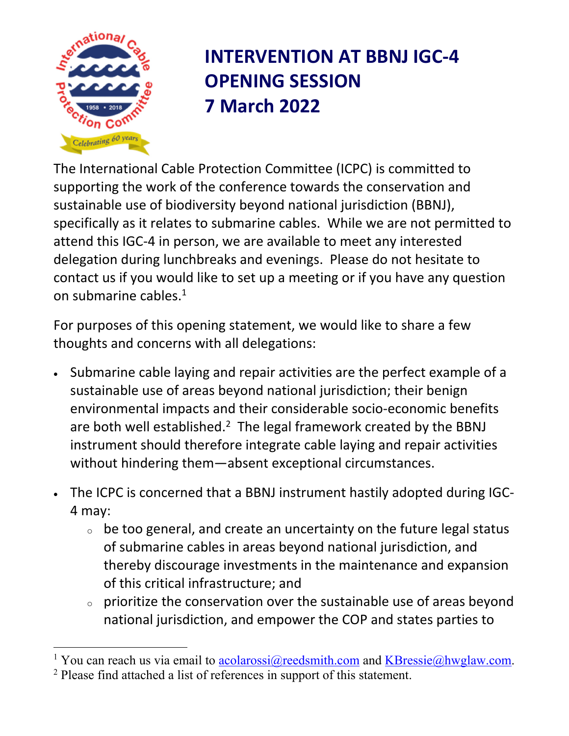

 $\overline{a}$ 

## **INTERVENTION AT BBNJ IGC‐4 OPENING SESSION 7 March 2022**

The International Cable Protection Committee (ICPC) is committed to supporting the work of the conference towards the conservation and sustainable use of biodiversity beyond national jurisdiction (BBNJ), specifically as it relates to submarine cables. While we are not permitted to attend this IGC‐4 in person, we are available to meet any interested delegation during lunchbreaks and evenings. Please do not hesitate to contact us if you would like to set up a meeting or if you have any question on submarine cables.1

For purposes of this opening statement, we would like to share a few thoughts and concerns with all delegations:

- Submarine cable laying and repair activities are the perfect example of a sustainable use of areas beyond national jurisdiction; their benign environmental impacts and their considerable socio‐economic benefits are both well established.<sup>2</sup> The legal framework created by the BBNJ instrument should therefore integrate cable laying and repair activities without hindering them—absent exceptional circumstances.
- The ICPC is concerned that a BBNJ instrument hastily adopted during IGC‐ 4 may:
	- $\circ$  be too general, and create an uncertainty on the future legal status of submarine cables in areas beyond national jurisdiction, and thereby discourage investments in the maintenance and expansion of this critical infrastructure; and
	- $\circ$  prioritize the conservation over the sustainable use of areas beyond national jurisdiction, and empower the COP and states parties to

<sup>&</sup>lt;sup>1</sup> You can reach us via email to  $\frac{\text{acolaross}(\text{a} \text{reedsmith.com}}{\text{a} \text{tfootedss}}$  and  $\frac{\text{KBressie}(\text{a} \text{hwglaw.com}}{\text{a} \text{tfootedss}}$ . <sup>2</sup> Please find attached a list of references in support of this statement.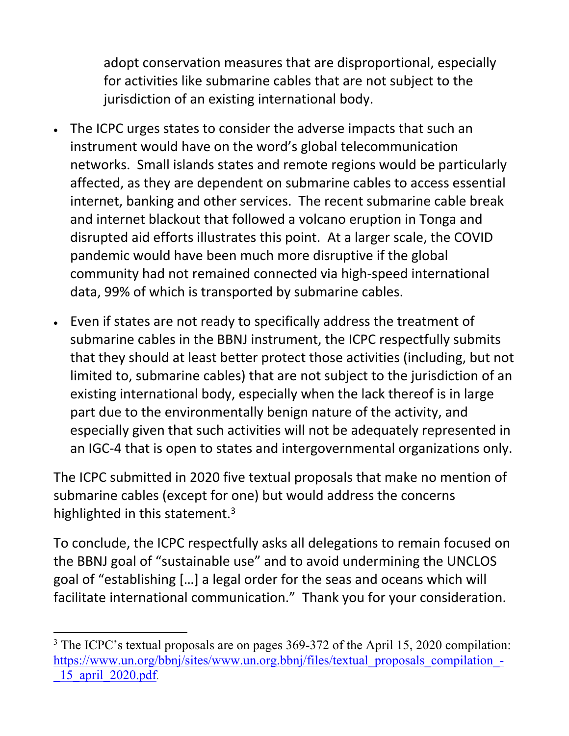adopt conservation measures that are disproportional, especially for activities like submarine cables that are not subject to the jurisdiction of an existing international body.

- The ICPC urges states to consider the adverse impacts that such an instrument would have on the word's global telecommunication networks. Small islands states and remote regions would be particularly affected, as they are dependent on submarine cables to access essential internet, banking and other services. The recent submarine cable break and internet blackout that followed a volcano eruption in Tonga and disrupted aid efforts illustrates this point. At a larger scale, the COVID pandemic would have been much more disruptive if the global community had not remained connected via high‐speed international data, 99% of which is transported by submarine cables.
- Even if states are not ready to specifically address the treatment of submarine cables in the BBNJ instrument, the ICPC respectfully submits that they should at least better protect those activities (including, but not limited to, submarine cables) that are not subject to the jurisdiction of an existing international body, especially when the lack thereof is in large part due to the environmentally benign nature of the activity, and especially given that such activities will not be adequately represented in an IGC‐4 that is open to states and intergovernmental organizations only.

The ICPC submitted in 2020 five textual proposals that make no mention of submarine cables (except for one) but would address the concerns highlighted in this statement.<sup>3</sup>

To conclude, the ICPC respectfully asks all delegations to remain focused on the BBNJ goal of "sustainable use" and to avoid undermining the UNCLOS goal of "establishing […] a legal order for the seas and oceans which will facilitate international communication." Thank you for your consideration.

 $\overline{a}$ 

<sup>&</sup>lt;sup>3</sup> The ICPC's textual proposals are on pages 369-372 of the April 15, 2020 compilation: https://www.un.org/bbnj/sites/www.un.org.bbnj/files/textual\_proposals\_compilation\_-\_15\_april\_2020.pdf.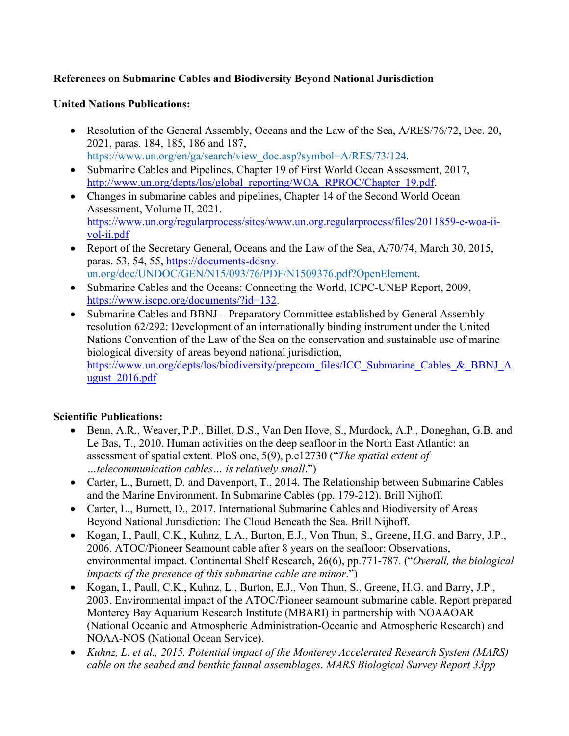## **References on Submarine Cables and Biodiversity Beyond National Jurisdiction**

## **United Nations Publications:**

- Resolution of the General Assembly, Oceans and the Law of the Sea, A/RES/76/72, Dec. 20, 2021, paras. 184, 185, 186 and 187, https://www.un.org/en/ga/search/view\_doc.asp?symbol=A/RES/73/124.
- Submarine Cables and Pipelines, Chapter 19 of First World Ocean Assessment, 2017, http://www.un.org/depts/los/global\_reporting/WOA\_RPROC/Chapter\_19.pdf.
- Changes in submarine cables and pipelines, Chapter 14 of the Second World Ocean Assessment, Volume II, 2021. https://www.un.org/regularprocess/sites/www.un.org.regularprocess/files/2011859-e-woa-iivol-ii.pdf
- Report of the Secretary General, Oceans and the Law of the Sea,  $A/70/74$ , March 30, 2015, paras. 53, 54, 55, https://documents-ddsny. un.org/doc/UNDOC/GEN/N15/093/76/PDF/N1509376.pdf?OpenElement.
- Submarine Cables and the Oceans: Connecting the World, ICPC-UNEP Report, 2009, https://www.iscpc.org/documents/?id=132.
- Submarine Cables and BBNJ Preparatory Committee established by General Assembly resolution 62/292: Development of an internationally binding instrument under the United Nations Convention of the Law of the Sea on the conservation and sustainable use of marine biological diversity of areas beyond national jurisdiction, https://www.un.org/depts/los/biodiversity/prepcom\_files/ICC\_Submarine\_Cables\_&\_BBNJ\_A ugust\_2016.pdf

## **Scientific Publications:**

- Benn, A.R., Weaver, P.P., Billet, D.S., Van Den Hove, S., Murdock, A.P., Doneghan, G.B. and Le Bas, T., 2010. Human activities on the deep seafloor in the North East Atlantic: an assessment of spatial extent. PloS one, 5(9), p.e12730 ("*The spatial extent of …telecommunication cables… is relatively small*.")
- Carter, L., Burnett, D. and Davenport, T., 2014. The Relationship between Submarine Cables and the Marine Environment. In Submarine Cables (pp. 179-212). Brill Nijhoff.
- Carter, L., Burnett, D., 2017. International Submarine Cables and Biodiversity of Areas Beyond National Jurisdiction: The Cloud Beneath the Sea. Brill Nijhoff.
- Kogan, I., Paull, C.K., Kuhnz, L.A., Burton, E.J., Von Thun, S., Greene, H.G. and Barry, J.P., 2006. ATOC/Pioneer Seamount cable after 8 years on the seafloor: Observations, environmental impact. Continental Shelf Research, 26(6), pp.771-787. ("*Overall, the biological impacts of the presence of this submarine cable are minor*.")
- Kogan, I., Paull, C.K., Kuhnz, L., Burton, E.J., Von Thun, S., Greene, H.G. and Barry, J.P., 2003. Environmental impact of the ATOC/Pioneer seamount submarine cable. Report prepared Monterey Bay Aquarium Research Institute (MBARI) in partnership with NOAAOAR (National Oceanic and Atmospheric Administration-Oceanic and Atmospheric Research) and NOAA-NOS (National Ocean Service).
- *Kuhnz, L. et al., 2015. Potential impact of the Monterey Accelerated Research System (MARS) cable on the seabed and benthic faunal assemblages. MARS Biological Survey Report 33pp*